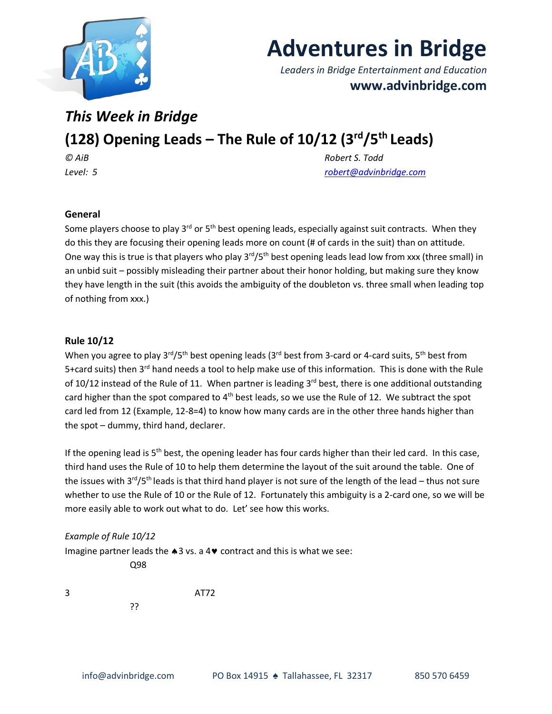

# **Adventures in Bridge**

*Leaders in Bridge Entertainment and Education* **www.advinbridge.com**

### *This Week in Bridge*

## **(128) Opening Leads – The Rule of 10/12 (3rd/5th Leads)**

*© AiB Robert S. Todd Level: 5 [robert@advinbridge.com](mailto:robert@advinbridge.com)*

#### **General**

Some players choose to play 3<sup>rd</sup> or 5<sup>th</sup> best opening leads, especially against suit contracts. When they do this they are focusing their opening leads more on count (# of cards in the suit) than on attitude. One way this is true is that players who play 3<sup>rd</sup>/5<sup>th</sup> best opening leads lead low from xxx (three small) in an unbid suit – possibly misleading their partner about their honor holding, but making sure they know they have length in the suit (this avoids the ambiguity of the doubleton vs. three small when leading top of nothing from xxx.)

#### **Rule 10/12**

When you agree to play 3<sup>rd</sup>/5<sup>th</sup> best opening leads (3<sup>rd</sup> best from 3-card or 4-card suits, 5<sup>th</sup> best from 5+card suits) then 3<sup>rd</sup> hand needs a tool to help make use of this information. This is done with the Rule of 10/12 instead of the Rule of 11. When partner is leading  $3^{rd}$  best, there is one additional outstanding card higher than the spot compared to  $4<sup>th</sup>$  best leads, so we use the Rule of 12. We subtract the spot card led from 12 (Example, 12-8=4) to know how many cards are in the other three hands higher than the spot – dummy, third hand, declarer.

If the opening lead is 5<sup>th</sup> best, the opening leader has four cards higher than their led card. In this case, third hand uses the Rule of 10 to help them determine the layout of the suit around the table. One of the issues with  $3^{rd}/5^{th}$  leads is that third hand player is not sure of the length of the lead – thus not sure whether to use the Rule of 10 or the Rule of 12. Fortunately this ambiguity is a 2-card one, so we will be more easily able to work out what to do. Let' see how this works.

#### *Example of Rule 10/12*

Imagine partner leads the  $\clubsuit 3$  vs. a 4 $\blacktriangledown$  contract and this is what we see: Q98

3 AT72 ??